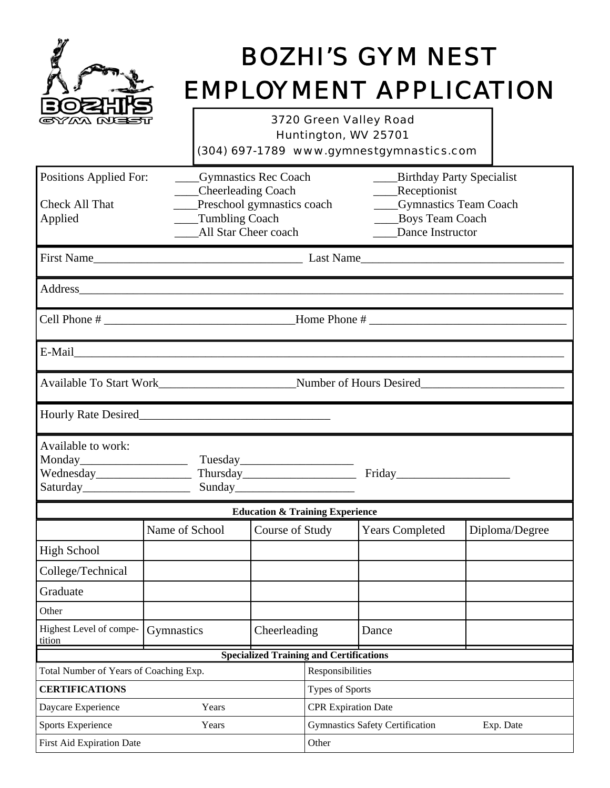

# *BOZHI'S GYM NEST EMPLOYMENT APPLICATION*

*3720 Green Valley Road Huntington, WV 25701* 

|  | (304) 697-1789 www.gymnestgymnastics.com |
|--|------------------------------------------|
|--|------------------------------------------|

| Positions Applied For:                                                     | <b>Conducter</b> Gymnastics Rec Coach<br>____Cheerleading Coach                                                                                                                                                               |                                                |                                                     | <b>Birthday Party Specialist</b><br>____Receptionist             |                |
|----------------------------------------------------------------------------|-------------------------------------------------------------------------------------------------------------------------------------------------------------------------------------------------------------------------------|------------------------------------------------|-----------------------------------------------------|------------------------------------------------------------------|----------------|
| Check All That<br>Applied                                                  | Preschool gymnastics coach<br>Tumbling Coach<br>All Star Cheer coach                                                                                                                                                          |                                                |                                                     | ____Gymnastics Team Coach<br>Boys Team Coach<br>Dance Instructor |                |
|                                                                            |                                                                                                                                                                                                                               |                                                |                                                     |                                                                  |                |
|                                                                            |                                                                                                                                                                                                                               |                                                |                                                     |                                                                  |                |
|                                                                            | the control of the control of the control of the control of the control of the control of the control of the control of the control of the control of the control of the control of the control of the control of the control |                                                |                                                     |                                                                  |                |
|                                                                            |                                                                                                                                                                                                                               |                                                |                                                     |                                                                  |                |
|                                                                            | Available To Start Work____________________________Number of Hours Desired__________________________                                                                                                                          |                                                |                                                     |                                                                  |                |
|                                                                            |                                                                                                                                                                                                                               |                                                |                                                     |                                                                  |                |
| Available to work:<br>Saturday <sub>________________________________</sub> | Wednesday Thursday Thursday Friday                                                                                                                                                                                            | Sunday                                         |                                                     |                                                                  |                |
|                                                                            |                                                                                                                                                                                                                               | <b>Education &amp; Training Experience</b>     |                                                     |                                                                  |                |
|                                                                            | Name of School                                                                                                                                                                                                                | Course of Study                                |                                                     | <b>Years Completed</b>                                           | Diploma/Degree |
| <b>High School</b>                                                         |                                                                                                                                                                                                                               |                                                |                                                     |                                                                  |                |
| College/Technical                                                          |                                                                                                                                                                                                                               |                                                |                                                     |                                                                  |                |
| Graduate                                                                   |                                                                                                                                                                                                                               |                                                |                                                     |                                                                  |                |
| Other                                                                      |                                                                                                                                                                                                                               |                                                |                                                     |                                                                  |                |
| Highest Level of compe-<br>tition                                          | Gymnastics                                                                                                                                                                                                                    | Cheerleading                                   |                                                     | Dance                                                            |                |
|                                                                            |                                                                                                                                                                                                                               | <b>Specialized Training and Certifications</b> |                                                     |                                                                  |                |
| Total Number of Years of Coaching Exp.                                     |                                                                                                                                                                                                                               | Responsibilities                               |                                                     |                                                                  |                |
| <b>CERTIFICATIONS</b>                                                      |                                                                                                                                                                                                                               | Types of Sports                                |                                                     |                                                                  |                |
| Daycare Experience                                                         | Years                                                                                                                                                                                                                         |                                                | <b>CPR Expiration Date</b>                          |                                                                  |                |
| <b>Sports Experience</b>                                                   | Years                                                                                                                                                                                                                         |                                                | <b>Gymnastics Safety Certification</b><br>Exp. Date |                                                                  |                |
| First Aid Expiration Date                                                  |                                                                                                                                                                                                                               | Other                                          |                                                     |                                                                  |                |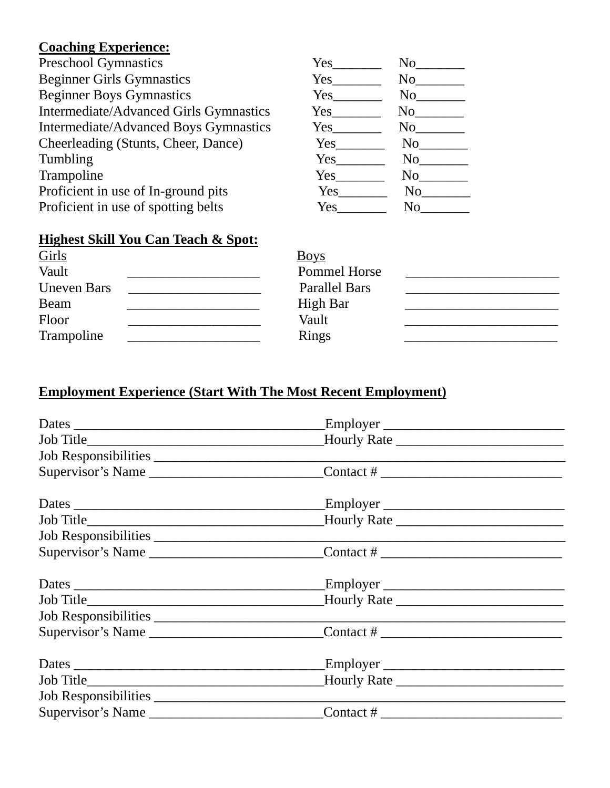## **Coaching Experience:**

| <b>Preschool Gymnastics</b>            | Yes        | No             |
|----------------------------------------|------------|----------------|
| <b>Beginner Girls Gymnastics</b>       | Yes        | No             |
| <b>Beginner Boys Gymnastics</b>        | Yes        | N <sub>0</sub> |
| Intermediate/Advanced Girls Gymnastics | Yes        | N <sub>0</sub> |
| Intermediate/Advanced Boys Gymnastics  | $Yes_$     | N <sub>0</sub> |
| Cheerleading (Stunts, Cheer, Dance)    | Yes        | N <sub>0</sub> |
| Tumbling                               | Yes        | N <sub>0</sub> |
| Trampoline                             | <b>Yes</b> | No.            |
| Proficient in use of In-ground pits    | Yes        | N <sub>0</sub> |
| Proficient in use of spotting belts    | Yes        | No             |

## **Highest Skill You Can Teach & Spot:**

| Girls<br>Vault     | <b>Boys</b>          |  |
|--------------------|----------------------|--|
|                    | Pommel Horse         |  |
| <b>Uneven Bars</b> | <b>Parallel Bars</b> |  |
| Beam               | <b>High Bar</b>      |  |
| Floor              | Vault                |  |
| Trampoline         | <b>Rings</b>         |  |

## **Employment Experience (Start With The Most Recent Employment)**

|                   | Supervisor's Name _____________________________Contact # _______________________                                                                                                                                                                                                                                |  |
|-------------------|-----------------------------------------------------------------------------------------------------------------------------------------------------------------------------------------------------------------------------------------------------------------------------------------------------------------|--|
|                   |                                                                                                                                                                                                                                                                                                                 |  |
|                   |                                                                                                                                                                                                                                                                                                                 |  |
|                   |                                                                                                                                                                                                                                                                                                                 |  |
|                   | Supervisor's Name ______________________________Contact # ______________________                                                                                                                                                                                                                                |  |
|                   |                                                                                                                                                                                                                                                                                                                 |  |
|                   |                                                                                                                                                                                                                                                                                                                 |  |
|                   |                                                                                                                                                                                                                                                                                                                 |  |
|                   | Supervisor's Name ______________________________Contact # _______________________                                                                                                                                                                                                                               |  |
|                   |                                                                                                                                                                                                                                                                                                                 |  |
|                   |                                                                                                                                                                                                                                                                                                                 |  |
|                   |                                                                                                                                                                                                                                                                                                                 |  |
| Supervisor's Name | Contact # $\frac{1}{2}$ $\frac{1}{2}$ $\frac{1}{2}$ $\frac{1}{2}$ $\frac{1}{2}$ $\frac{1}{2}$ $\frac{1}{2}$ $\frac{1}{2}$ $\frac{1}{2}$ $\frac{1}{2}$ $\frac{1}{2}$ $\frac{1}{2}$ $\frac{1}{2}$ $\frac{1}{2}$ $\frac{1}{2}$ $\frac{1}{2}$ $\frac{1}{2}$ $\frac{1}{2}$ $\frac{1}{2}$ $\frac{1}{2}$ $\frac{1}{2}$ |  |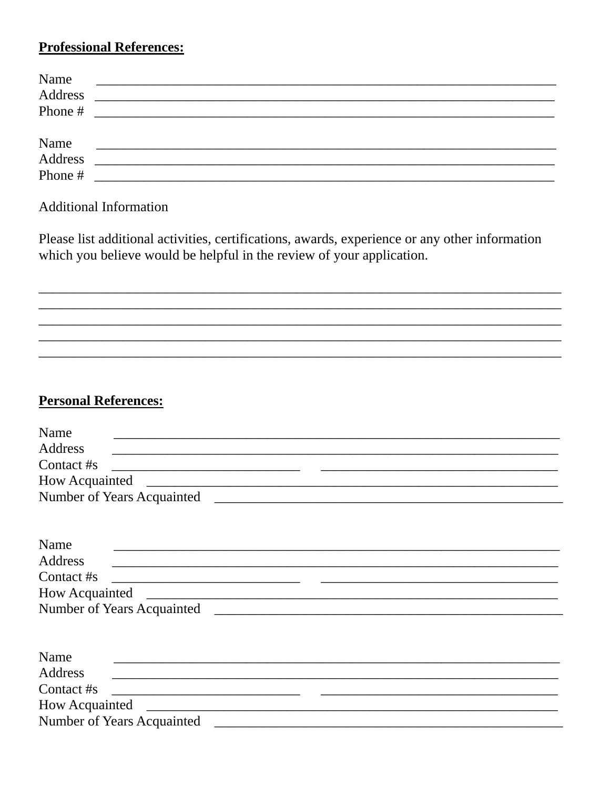### **Professional References:**

| Name            |                                                           |
|-----------------|-----------------------------------------------------------|
| Address         | <u> 1980 - Andrea Andrewski, fransk politik (d. 1980)</u> |
| Phone #         |                                                           |
|                 |                                                           |
|                 |                                                           |
| Name<br>Address |                                                           |
| Phone #         |                                                           |
|                 |                                                           |

#### **Additional Information**

Please list additional activities, certifications, awards, experience or any other information which you believe would be helpful in the review of your application.

#### **Personal References:**

| Name<br>and the control of the control of the control of the control of the control of the control of the control of the           |
|------------------------------------------------------------------------------------------------------------------------------------|
| Address<br>and the control of the control of the control of the control of the control of the control of the control of the        |
| Contact #s                                                                                                                         |
|                                                                                                                                    |
|                                                                                                                                    |
|                                                                                                                                    |
|                                                                                                                                    |
| Name<br>and the control of the control of the control of the control of the control of the control of the control of the           |
| Address                                                                                                                            |
| Contact #s<br><u> 2000 - Jan Sarajević, politika i postao da postao da postao da predsjednje postao da postao da predsjednje p</u> |
|                                                                                                                                    |
|                                                                                                                                    |
|                                                                                                                                    |
|                                                                                                                                    |
| Name                                                                                                                               |
| Address                                                                                                                            |
| Contact #s                                                                                                                         |
| How Acquainted                                                                                                                     |
| Number of Years Acquainted                                                                                                         |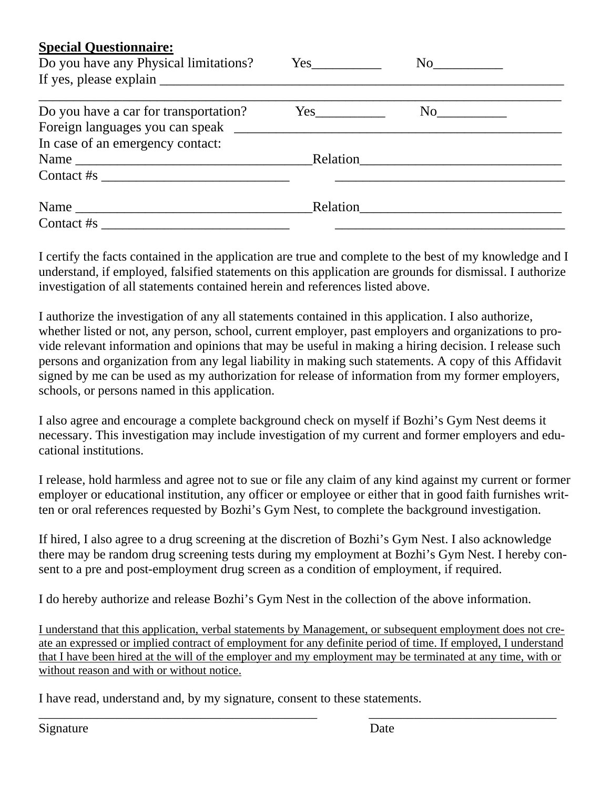| <b>Special Questionnaire:</b><br>Do you have any Physical limitations?                                                                                                                                                                                                                                           |          | No       |
|------------------------------------------------------------------------------------------------------------------------------------------------------------------------------------------------------------------------------------------------------------------------------------------------------------------|----------|----------|
| If yes, please explain                                                                                                                                                                                                                                                                                           |          |          |
| Do you have a car for transportation?                                                                                                                                                                                                                                                                            |          | No       |
| In case of an emergency contact:                                                                                                                                                                                                                                                                                 |          |          |
|                                                                                                                                                                                                                                                                                                                  |          | Relation |
| Contact #s $\frac{1}{2}$ $\frac{1}{2}$ $\frac{1}{2}$ $\frac{1}{2}$ $\frac{1}{2}$ $\frac{1}{2}$ $\frac{1}{2}$ $\frac{1}{2}$ $\frac{1}{2}$ $\frac{1}{2}$ $\frac{1}{2}$ $\frac{1}{2}$ $\frac{1}{2}$ $\frac{1}{2}$ $\frac{1}{2}$ $\frac{1}{2}$ $\frac{1}{2}$ $\frac{1}{2}$ $\frac{1}{2}$ $\frac{1}{2}$ $\frac{1}{2}$ |          |          |
|                                                                                                                                                                                                                                                                                                                  | Relation |          |
| $\text{Context} \# \text{s}$                                                                                                                                                                                                                                                                                     |          |          |

I certify the facts contained in the application are true and complete to the best of my knowledge and I understand, if employed, falsified statements on this application are grounds for dismissal. I authorize investigation of all statements contained herein and references listed above.

I authorize the investigation of any all statements contained in this application. I also authorize, whether listed or not, any person, school, current employer, past employers and organizations to provide relevant information and opinions that may be useful in making a hiring decision. I release such persons and organization from any legal liability in making such statements. A copy of this Affidavit signed by me can be used as my authorization for release of information from my former employers, schools, or persons named in this application.

I also agree and encourage a complete background check on myself if Bozhi's Gym Nest deems it necessary. This investigation may include investigation of my current and former employers and educational institutions.

I release, hold harmless and agree not to sue or file any claim of any kind against my current or former employer or educational institution, any officer or employee or either that in good faith furnishes written or oral references requested by Bozhi's Gym Nest, to complete the background investigation.

If hired, I also agree to a drug screening at the discretion of Bozhi's Gym Nest. I also acknowledge there may be random drug screening tests during my employment at Bozhi's Gym Nest. I hereby consent to a pre and post-employment drug screen as a condition of employment, if required.

I do hereby authorize and release Bozhi's Gym Nest in the collection of the above information.

I understand that this application, verbal statements by Management, or subsequent employment does not create an expressed or implied contract of employment for any definite period of time. If employed, I understand that I have been hired at the will of the employer and my employment may be terminated at any time, with or without reason and with or without notice.

\_\_\_\_\_\_\_\_\_\_\_\_\_\_\_\_\_\_\_\_\_\_\_\_\_\_\_\_\_\_\_\_\_\_\_\_\_\_\_\_\_\_\_ \_\_\_\_\_\_\_\_\_\_\_\_\_\_\_\_\_\_\_\_\_\_\_\_\_\_\_\_\_

I have read, understand and, by my signature, consent to these statements.